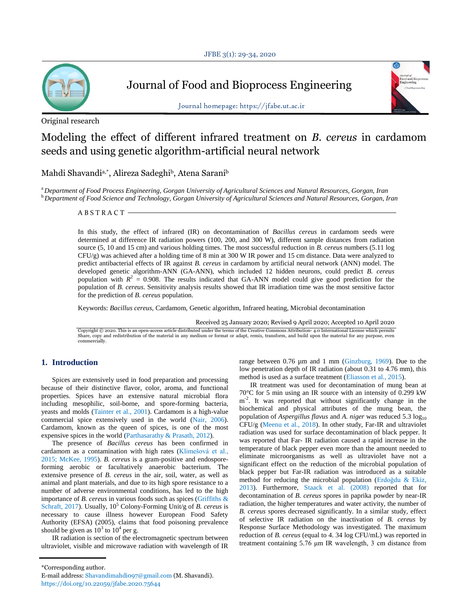

Journal of Food and Bioprocess Engineering

Original research



Journal homepage: https://jfabe.ut.ac.ir

# Modeling the effect of different infrared treatment on *B. cereus* in cardamom seeds and using genetic algorithm-artificial neural network

Mahdi Shavandia,\* , Alireza Sadeghi<sup>b</sup> , Atena Sarani<sup>b</sup>

<sup>a</sup>*Department of Food Process Engineering, Gorgan University of Agricultural Sciences and Natural Resources, Gorgan, Iran* <sup>b</sup>*Department of Food Science and Technology, Gorgan University of Agricultural Sciences and Natural Resources, Gorgan, Iran*

A B S T R A C T

In this study, the effect of infrared (IR) on decontamination of *Bacillus cereus* in cardamom seeds were determined at difference IR radiation powers (100, 200, and 300 W), different sample distances from radiation source (5, 10 and 15 cm) and various holding times. The most successful reduction in *B. cereus* numbers (5.11 log CFU/g) was achieved after a holding time of 8 min at 300 W IR power and 15 cm distance. Data were analyzed to predict antibacterial effects of IR against *B. cereus* in cardamom by artificial neural network (ANN) model. The developed genetic algorithm-ANN (GA-ANN), which included 12 hidden neurons, could predict *B. cereus* population with  $R^2 = 0.908$ . The results indicated that GA-ANN model could give good prediction for the population of *B. cereus*. Sensitivity analysis results showed that IR irradiation time was the most sensitive factor for the prediction of *B. cereus* population.

Keywords: *Bacillus cereus,* Cardamom, Genetic algorithm, Infrared heating, Microbial decontamination

Received 25 January 2020; Revised 9 April 2020; Accepted 10 April 2020

Copyright © 2020. This is an open-access article distributed under the terms of the Creative Commons Attribution- 4.0 International License which permits<br>Share, copy and redistribution of the material in any medium or for

# **1. Introduction**

Spices are extensively used in food preparation and processing because of their distinctive flavor, color, aroma, and functional properties. Spices have an extensive natural microbial flora including mesophilic, soil-borne, and spore-forming bacteria, yeasts and molds (Tainter et al., 2001). Cardamom is a high-value commercial spice extensively used in the world (Nair, 2006). Cardamom, known as the queen of spices, is one of the most expensive spices in the world (Parthasarathy & Prasath, 2012).

The presence of *Bacillus cereus* has been confirmed in cardamom as a contamination with high rates (Klimešová et al., 2015; McKee, 1995). *B. cereus* is a gram-positive and endosporeforming aerobic or facultatively anaerobic bacterium. The extensive presence of *B. cereus* in the air, soil, water, as well as animal and plant materials, and due to its high spore resistance to a number of adverse environmental conditions, has led to the high importance of *B. cereus* in various foods such as spices (Griffiths & Schraft, 2017). Usually, 10<sup>5</sup> Colony-Forming Unit/g of *B. cereus* is necessary to cause illness however European Food Safety Authority (EFSA) (2005), claims that food poisoning prevalence should be given as  $10^3$  to  $10^4$  per g.

IR radiation is section of the electromagnetic spectrum between ultraviolet, visible and microwave radiation with wavelength of IR range between 0.76 µm and 1 mm (Ginzburg, 1969). Due to the low penetration depth of IR radiation (about 0.31 to 4.76 mm), this method is used as a surface treatment (Eliasson et al., 2015).

IR treatment was used for decontamination of mung bean at 70°C for 5 min using an IR source with an intensity of 0.299 kW m<sup>-2</sup>. It was reported that without significantly change in the biochemical and physical attributes of the mung bean, the population of *Aspergillus flavus* and *A. niger* was reduced 5.3 log<sub>10</sub> CFU/g (Meenu et al., 2018). In other study, Far-IR and ultraviolet radiation was used for surface decontamination of black pepper. It was reported that Far- IR radiation caused a rapid increase in the temperature of black pepper even more than the amount needed to eliminate microorganisms as well as ultraviolet have not a significant effect on the reduction of the microbial population of black pepper but Far-IR radiation was introduced as a suitable method for reducing the microbial population (Erdoğdu & Ekiz, 2013). Furthermore, Staack et al. (2008) reported that for decontamination of *B. cereus* spores in paprika powder by near-IR radiation, the higher temperatures and water activity, the number of *B. cereus* spores decreased significantly. In a similar study, effect of selective IR radiation on the inactivation of *B. cereus* by Response Surface Methodology was investigated. The maximum reduction of *B. cereus* (equal to 4. 34 log CFU/mL) was reported in treatment containing 5.76 μm IR wavelength, 3 cm distance from

<sup>\*</sup>Corresponding author.

E-mail address: Shavandimahdi097@gmail.com (M. Shavandi). https://doi.org/10.22059/jfabe.2020.75644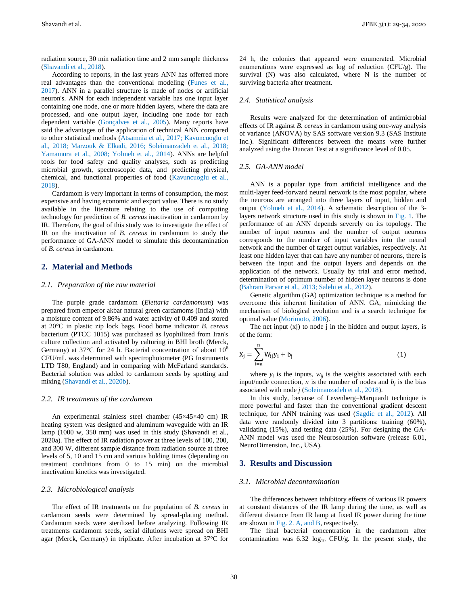radiation source, 30 min radiation time and 2 mm sample thickness (Shavandi et al., 2018).

According to reports, in the last years ANN has offerred more real advantages than the conventional modeling (Funes et al., 2017). ANN in a parallel structure is made of nodes or artificial neuron's. ANN for each independent variable has one input layer containing one node, one or more hidden layers, where the data are processed, and one output layer, including one node for each dependent variable (Gonçalves et al., 2005). Many reports have said the advantages of the application of technical ANN compared to other statistical methods (Atsamnia et al., 2017; Kavuncuoglu et al., 2018; Marzouk & Elkadi, 2016; Soleimanzadeh et al., 2018; Yamamura et al., 2008; Yolmeh et al., 2014). ANNs are helpful tools for food safety and quality analyses, such as predicting microbial growth, spectroscopic data, and predicting physical, chemical, and functional properties of food (Kavuncuoglu et al., 2018).

Cardamom is very important in terms of consumption, the most expensive and having economic and export value. There is no study available in the literature relating to the use of computing technology for prediction of *B. cereus* inactivation in cardamom by IR. Therefore, the goal of this study was to investigate the effect of IR on the inactivation of *B. cereus* in cardamom to study the performance of GA-ANN model to simulate this decontamination of *B. cereus* in cardamom.

# **2. Material and Methods**

## *2.1. Preparation of the raw material*

The purple grade cardamom (*Elettaria cardamomum*) was prepared from emperor akbar natural green cardamoms (India) with a moisture content of 9.86% and water activity of 0.409 and stored at 20°C in plastic zip lock bags. Food borne indicator *B. cereus*  bacterium (PTCC 1015) was purchased as lyophilized from Iran's culture collection and activated by calturing in BHI broth (Merck, Germany) at  $37^{\circ}$ C for 24 h. Bacterial concentration of about  $10^{\circ}$ CFU/mL was determined with spectrophotometer (PG Instruments LTD T80, England) and in comparing with McFarland standards. Bacterial solution was added to cardamom seeds by spotting and mixing (Shavandi et al., 2020b).

## *2.2. IR treatments of the cardamom*

An experimental stainless steel chamber (45×45×40 cm) IR heating system was designed and aluminum waveguide with an IR lamp (1000 w, 350 mm) was used in this study (Shavandi et al., 2020a). The effect of IR radiation power at three levels of 100, 200, and 300 W, different sample distance from radiation source at three levels of 5, 10 and 15 cm and various holding times (depending on treatment conditions from 0 to 15 min) on the microbial inactivation kinetics was investigated.

#### *2.3. Microbiological analysis*

The effect of IR treatments on the population of *B. cereus* in cardamom seeds were determined by spread-plating method. Cardamom seeds were sterilized before analyzing. Following IR treatments cardamom seeds, serial dilutions were spread on BHI agar (Merck, Germany) in triplicate. After incubation at 37°C for 24 h, the colonies that appeared were enumerated. Microbial enumerations were expressed as log of reduction (CFU/g). The survival (N) was also calculated, where N is the number of surviving bacteria after treatment.

#### *2.4. Statistical analysis*

Results were analyzed for the determination of antimicrobial effects of IR against *B. cereus* in cardamom using one-way analysis of variance (ANOVA) by SAS software version 9.3 (SAS Institute Inc.). Significant differences between the means were further analyzed using the Duncan Test at a significance level of 0.05.

### *2.5. GA-ANN model*

ANN is a popular type from artificial intelligence and the multi-layer feed-forward neural network is the most popular, where the neurons are arranged into three layers of input, hidden and output (Yolmeh et al., 2014). A schematic description of the 3 layers network structure used in this study is shown in Fig. 1. The performance of an ANN depends severely on its topology. The number of input neurons and the number of output neurons corresponds to the number of input variables into the neural network and the number of target output variables, respectively. At least one hidden layer that can have any number of neurons, there is between the input and the output layers and depends on the application of the network. Usually by trial and error method, determination of optimum number of hidden layer neurons is done (Bahram Parvar et al., 2013; Salehi et al., 2012).

Genetic algorithm (GA) optimization technique is a method for overcome this inherent limitation of ANN. GA, mimicking the mechanism of biological evolution and is a search technique for optimal value (Morimoto, 2006).

The net input  $(x<sub>i</sub>)$  to node  $\overline{i}$  in the hidden and output layers, is of the form:

$$
X_j = \sum_{i=1}^{n} W_{ij} y_i + b_j
$$
 (1)

where  $y_i$  is the inputs,  $w_{ij}$  is the weights associated with each input/node connection, *n* is the number of nodes and  $b_j$  is the bias associated with node *j* (Soleimanzadeh et al., 2018).

In this study, because of Levenberg–Marquardt technique is more powerful and faster than the conventional gradient descent technique, for ANN training was used (Sagdic et al., 2012). All data were randomly divided into 3 partitions: training (60%), validating (15%), and testing data (25%). For designing the GA-ANN model was used the Neurosolution software (release 6.01, NeuroDimension, Inc., USA).

# **3. Results and Discussion**

#### *3.1. Microbial decontamination*

The differences between inhibitory effects of various IR powers at constant distances of the IR lamp during the time, as well as different distance from IR lamp at fixed IR power during the time are shown in Fig. 2. A, and B, respectively.

The final bacterial concentration in the cardamom after contamination was  $6.32 \log_{10}$  CFU/g. In the present study, the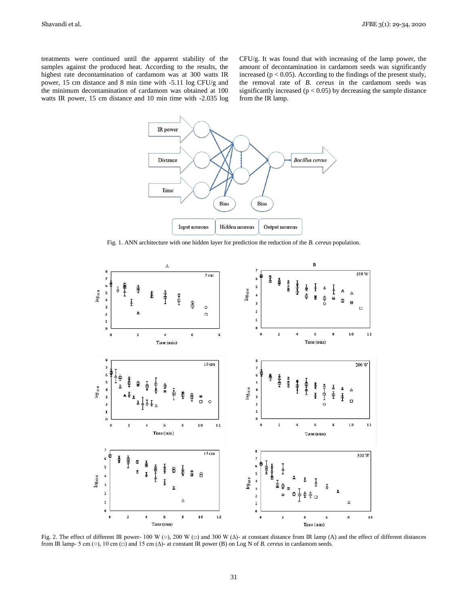treatments were continued until the apparent stability of the samples against the produced heat. According to the results, the highest rate decontamination of cardamom was at 300 watts IR power, 15 cm distance and 8 min time with -5.11 log CFU/g and the minimum decontamination of cardamom was obtained at 100 watts IR power, 15 cm distance and 10 min time with -2.035 log CFU/g. It was found that with increasing of the lamp power, the amount of decontamination in cardamom seeds was significantly increased ( $p < 0.05$ ). According to the findings of the present study, the removal rate of *B. cereus* in the cardamom seeds was significantly increased ( $p < 0.05$ ) by decreasing the sample distance from the IR lamp.



Fig. 1. ANN architecture with one hidden layer for prediction the reduction of the *B. cereus* population.



Fig. 2. The effect of different IR power- 100 W (○), 200 W (□) and 300 W (∆)- at constant distance from IR lamp (A) and the effect of different distances from IR lamp- 5 cm (○), 10 cm (□) and 15 cm (∆)- at constant IR power (B) on Log N of *B. cereus* in cardamom seeds.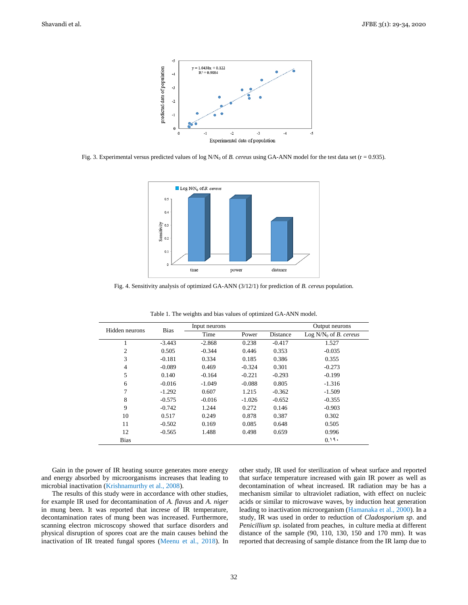

Fig. 3. Experimental versus predicted values of log  $N/N_0$  of *B. cereus* using GA-ANN model for the test data set ( $r = 0.935$ ).



Fig. 4. Sensitivity analysis of optimized GA-ANN (3/12/1) for prediction of *B. cereus* population.

| Hidden neurons | <b>Bias</b> | Input neurons |          |          | Output neurons                  |
|----------------|-------------|---------------|----------|----------|---------------------------------|
|                |             | Time          | Power    | Distance | Log $N/N_0$ of <i>B. cereus</i> |
|                | $-3.443$    | $-2.868$      | 0.238    | $-0.417$ | 1.527                           |
| 2              | 0.505       | $-0.344$      | 0.446    | 0.353    | $-0.035$                        |
| 3              | $-0.181$    | 0.334         | 0.185    | 0.386    | 0.355                           |
| 4              | $-0.089$    | 0.469         | $-0.324$ | 0.301    | $-0.273$                        |
| 5              | 0.140       | $-0.164$      | $-0.221$ | $-0.293$ | $-0.199$                        |
| 6              | $-0.016$    | $-1.049$      | $-0.088$ | 0.805    | $-1.316$                        |
| 7              | $-1.292$    | 0.607         | 1.215    | $-0.362$ | $-1.509$                        |
| 8              | $-0.575$    | $-0.016$      | $-1.026$ | $-0.652$ | $-0.355$                        |
| 9              | $-0.742$    | 1.244         | 0.272    | 0.146    | $-0.903$                        |
| 10             | 0.517       | 0.249         | 0.878    | 0.387    | 0.302                           |
| 11             | $-0.502$    | 0.169         | 0.085    | 0.648    | 0.505                           |
| 12             | $-0.565$    | 1.488         | 0.498    | 0.659    | 0.996                           |
| <b>Bias</b>    |             |               |          |          | 0.19                            |
|                |             |               |          |          |                                 |

Table 1. The weights and bias values of optimized GA-ANN model.

Gain in the power of IR heating source generates more energy and energy absorbed by microorganisms increases that leading to microbial inactivation (Krishnamurthy et al., 2008).

The results of this study were in accordance with other studies, for example IR used for decontamination of *A. flavus* and *A. niger* in mung been. It was reported that increse of IR temperature, decontamination rates of mung been was increased. Furthermore, scanning electron microscopy showed that surface disorders and physical disruption of spores coat are the main causes behind the inactivation of IR treated fungal spores (Meenu et al., 2018). In other study, IR used for sterilization of wheat surface and reported that surface temperature increased with gain IR power as well as decontamination of wheat increased. IR radiation may be has a mechanism similar to ultraviolet radiation, with effect on nucleic acids or similar to microwave waves, by induction heat generation leading to inactivation microorganism (Hamanaka et al., 2000). In a study, IR was used in order to reduction of *Cladosporium sp*. and *Penicillium sp*. isolated from peaches, in culture media at different distance of the sample (90, 110, 130, 150 and 170 mm). It was reported that decreasing of sample distance from the IR lamp due to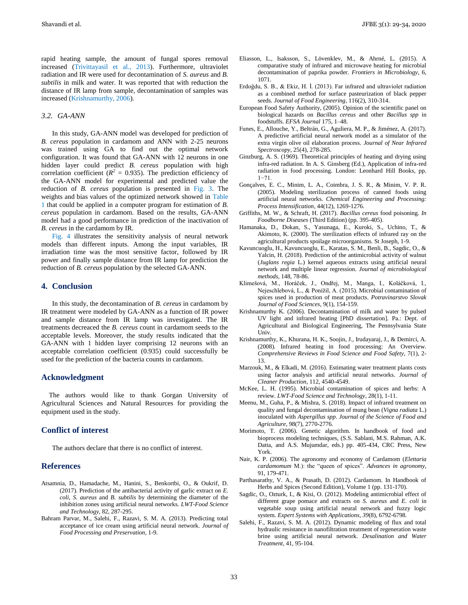rapid heating sample, the amount of fungal spores removal increased (Trivittayasil et al., 2013). Furthermore, ultraviolet radiation and IR were used for decontamination of *S. aureus* and *B. subtilis* in milk and water. It was reported that with reduction the distance of IR lamp from sample, decontamination of samples was increased (Krishnamurthy, 2006).

#### *3.2. GA-ANN*

In this study, GA-ANN model was developed for prediction of *B. cereus* population in cardamom and ANN with 2-25 neurons was trained using GA to find out the optimal network configuration. It was found that GA-ANN with 12 neurons in one hidden layer could predict *B. cereus* population with high correlation coefficient  $(R^2 = 0.935)$ . The prediction efficiency of the GA-ANN model for experimental and predicted value the reduction of *B. cereus* population is presented in Fig. 3. The weights and bias values of the optimized network showed in Table 1 that could be applied in a computer program for estimation of *B. cereus* population in cardamom. Based on the results, GA-ANN model had a good performance in prediction of the inactivation of *B. cereus* in the cardamom by IR.

Fig. 4 illustrates the sensitivity analysis of neural network models than different inputs. Among the input variables, IR irradiation time was the most sensitive factor, followed by IR power and finally sample distance from IR lamp for prediction the reduction of *B. cereus* population by the selected GA-ANN.

### **4. Conclusion**

In this study, the decontamination of *B. cereus* in cardamom by IR treatment were modeled by GA-ANN as a function of IR power and sample distance from IR lamp was investigated. The IR treatments decreaced the *B. cereus* count in cardamom seeds to the acceptable levels. Moreover, the study results indicated that the GA-ANN with 1 hidden layer comprising 12 neurons with an acceptable correlation coefficient (0.935) could successfully be used for the prediction of the bacteria counts in cardamom.

# **Acknowledgment**

The authors would like to thank Gorgan University of Agricultural Sciences and Natural Resources for providing the equipment used in the study.

# **Conflict of interest**

The authors declare that there is no conflict of interest.

# **References**

- Atsamnia, D., Hamadache, M., Hanini, S., Benkortbi, O., & Oukrif, D. (2017). Prediction of the antibacterial activity of garlic extract on *E. coli*, *S. aureus* and *B. subtilis* by determining the diameter of the inhibition zones using artificial neural networks. *LWT-Food Science and Technology,* 82, 287-295.
- Bahram Parvar, M., Salehi, F., Razavi, S. M. A. (2013). Predicting total acceptance of ice cream using artificial neural network. *Journal of Food Processing and Preservation*, 1-9.
- Eliasson, L., Isaksson, S., Lövenklev, M., & Ahrné, L. (2015). A comparative study of infrared and microwave heating for microbial decontamination of paprika powder. *Frontiers in Microbiology*, 6, 1071.
- Erdoğdu, S. B., & Ekiz, H. İ. (2013). Far infrared and ultraviolet radiation as a combined method for surface pasteurization of black pepper seeds. *Journal of Food Engineering*, 116(2), 310-314.
- European Food Safety Authority, (2005). Opinion of the scientific panel on biological hazards on *Bacillus cereus* and other *Bacillus spp* in foodstuffs. *EFSA Journal* 175, 1–48.
- Funes, E., Allouche, Y., Beltrán, G., Aguliera, M. P., & Jiménez, A. (2017). A predictive artificial neural network model as a simulator of the extra virgin olive oil elaboration process. *Journal of Near Infrared Spectroscopy*, 25(4), 278-285.
- Ginzburg, A. S. (1969). Theoretical principles of heating and drying using infra-red radiation. In A. S. Ginsberg (Ed.), Application of infra-red radiation in food processing. London: Leonhard Hill Books, pp. 1−71.
- Gonçalves, E. C., Minim, L. A., Coimbra, J. S. R., & Minim, V. P. R. (2005). Modeling sterilization process of canned foods using artificial neural networks. *Chemical Engineering and Processing: Process Intensification*, 44(12), 1269-1276.
- Griffiths, M. W., & Schraft, H. (2017). *Bacillus cereus* food poisoning. *In Foodborne Diseases* (Third Edition) (pp. 395-405).
- Hamanaka, D., Dokan, S., Yasunaga, E., Kuroki, S., Uchino, T., & Akimoto, K. (2000). The sterilization effects of infrared ray on the agricultural products spoilage microorganisms. St Joseph, 1-9.
- Kavuncuoglu, H., Kavuncuoglu, E., Karatas, S. M., Benli, B., Sagdic, O., & Yalcin, H. (2018). Prediction of the antimicrobial activity of walnut (*Juglans regia* L.) kernel aqueous extracts using artificial neural network and multiple linear regression. *Journal of microbiological methods*, 148, 78-86.
- Klimešová, M., Horáček, J., Ondřej, M., Manga, I., Koláčková, I., Nejeschlebová, L., & Ponížil, A. (2015). Microbial contamination of spices used in production of meat products. *Potravinarstvo Slovak Journal of Food Sciences*, 9(1), 154-159.
- Krishnamurthy K. (2006). Decontamination of milk and water by pulsed UV light and infrared heating [PhD dissertation]. Pa.: Dept. of Agricultural and Biological Engineering, The Pennsylvania State Univ.
- Krishnamurthy, K., Khurana, H. K., Soojin, J., Irudayaraj, J., & Demirci, A. (2008). Infrared heating in food processing: An Overview. *Comprehensive Reviews in Food Science and Food Safety*, 7(1), 2- 13.
- Marzouk, M., & Elkadi, M. (2016). Estimating water treatment plants costs using factor analysis and artificial neural networks. *Journal of Cleaner Production*, 112, 4540-4549.
- McKee, L. H. (1995). Microbial contamination of spices and herbs: A review. *LWT*-*Food Science and Technology*, 28(1), 1-11.
- Meenu, M., Guha, P., & Mishra, S. (2018). Impact of infrared treatment on quality and fungal decontamination of mung bean (*Vigna radiata* L.) inoculated with *Aspergillus spp*. *Journal of the Science of Food and Agriculture*, 98(7), 2770-2776.
- Morimoto, T. (2006). Genetic algorithm. In handbook of food and bioprocess modeling techniques, (S.S. Sablani, M.S. Rahman, A.K. Datta, and A.S. Mujumdar, eds.) pp. 405-434, CRC Press, New York.
- Nair, K. P. (2006). The agronomy and economy of Cardamom (*Elettaria cardamomum* M.): the "queen of spices". *Advances in agronomy*, 91, 179-471.
- Parthasarathy, V. A., & Prasath, D. (2012). Cardamom. In Handbook of Herbs and Spices (Second Edition), Volume 1 (pp. 131-170).
- Sagdic, O., Ozturk, I., & Kisi, O. (2012). Modeling antimicrobial effect of different grape pomace and extracts on *S. aureus* and *E. coli* in vegetable soup using artificial neural network and fuzzy logic system. *Expert Systems with Applications*, *39*(8), 6792-6798.
- Salehi, F., Razavi, S. M. A. (2012). Dynamic modeling of flux and total hydraulic resistance in nanofiltration treatment of regeneration waste brine using artificial neural network. *Desalination and Water Treatment*, 41, 95-104.